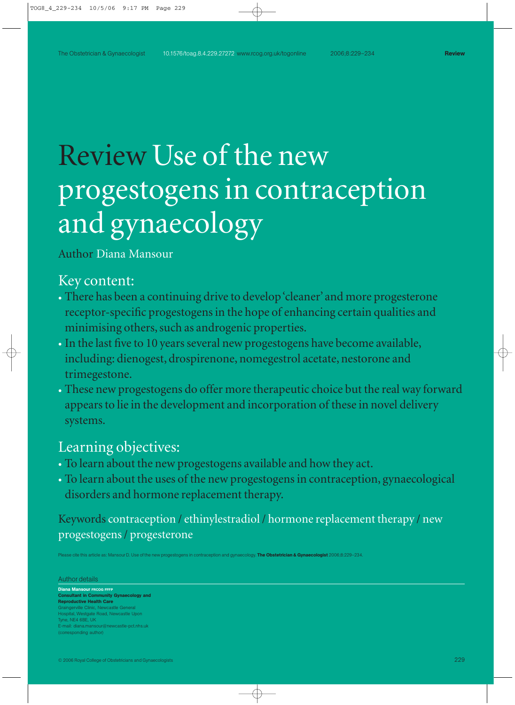# Review Use of the new progestogens in contraception and gynaecology

Author Diana Mansour

## Key content:

- **•** There has been a continuing drive to develop 'cleaner' and more progesterone receptor-specific progestogens in the hope of enhancing certain qualities and minimising others, such as androgenic properties.
- **•** In the last five to 10 years several new progestogens have become available, including: dienogest, drospirenone, nomegestrol acetate, nestorone and trimegestone.
- **•** These new progestogens do offer more therapeutic choice but the real way forward appears to lie in the development and incorporation of these in novel delivery systems.

# Learning objectives:

- **•** To learn about the new progestogens available and how they act.
- **•** To learn about the uses of the new progestogens in contraception, gynaecological disorders and hormone replacement therapy.

Keywords contraception / ethinylestradiol / hormone replacement therapy / new progestogens / progesterone

se cite this article as: Mansour D. Use of the new progestogens in contraception and gynaecology. The Obstetrician & Gynaecologist 2006;8:229-234

Author details Diana Mansour FRCOG FFFP Consultant in Community Gynaecology and **Reproductive Health Care**<br>Graingerville Clinic, Newcastle General Graingerville Clinic, New Hospital, Westgate Road, Newcastle Upon Tyne, NE4 6BE, UK E-mail: diana.mansour@newcastle-pct.nhs.uk (corresponding author)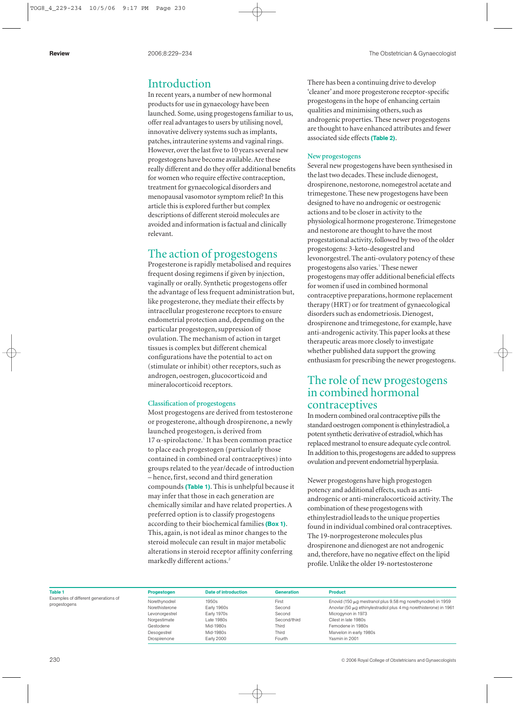### Introduction

In recent years, a number of new hormonal products for use in gynaecology have been launched. Some, using progestogens familiar to us, offer real advantages to users by utilising novel, innovative delivery systems such as implants, patches, intrauterine systems and vaginal rings. However, over the last five to 10 years several new progestogens have become available. Are these really different and do they offer additional benefits for women who require effective contraception, treatment for gynaecological disorders and menopausal vasomotor symptom relief? In this article this is explored further but complex descriptions of different steroid molecules are avoided and information is factual and clinically relevant.

## The action of progestogens

Progesterone is rapidly metabolised and requires frequent dosing regimens if given by injection, vaginally or orally. Synthetic progestogens offer the advantage of less frequent administration but, like progesterone, they mediate their effects by intracellular progesterone receptors to ensure endometrial protection and, depending on the particular progestogen, suppression of ovulation. The mechanism of action in target tissues is complex but different chemical configurations have the potential to act on (stimulate or inhibit) other receptors, such as androgen, oestrogen, glucocorticoid and mineralocorticoid receptors.

#### **Classification of progestogens**

Most progestogens are derived from testosterone or progesterone, although drospirenone, a newly launched progestogen, is derived from  $17 \alpha$ -spirolactone.<sup>1</sup> It has been common practice to place each progestogen (particularly those contained in combined oral contraceptives) into groups related to the year/decade of introduction – hence, first, second and third generation compounds (Table 1). This is unhelpful because it may infer that those in each generation are chemically similar and have related properties. A preferred option is to classify progestogens according to their biochemical families (Box 1). This, again, is not ideal as minor changes to the steroid molecule can result in major metabolic alterations in steroid receptor affinity conferring markedly different actions.<sup>2</sup>

There has been a continuing drive to develop 'cleaner' and more progesterone receptor-specific progestogens in the hope of enhancing certain qualities and minimising others, such as androgenic properties. These newer progestogens are thought to have enhanced attributes and fewer associated side effects (Table 2).

#### **New progestogens**

Several new progestogens have been synthesised in the last two decades. These include dienogest, drospirenone, nestorone, nomegestrol acetate and trimegestone. These new progestogens have been designed to have no androgenic or oestrogenic actions and to be closer in activity to the physiological hormone progesterone. Trimegestone and nestorone are thought to have the most progestational activity, followed by two of the older progestogens: 3-keto-desogestrel and levonorgestrel. The anti-ovulatory potency of these progestogens also varies.<sup>1</sup> These newer progestogens may offer additional beneficial effects for women if used in combined hormonal contraceptive preparations, hormone replacement therapy (HRT) or for treatment of gynaecological disorders such as endometriosis. Dienogest, drospirenone and trimegestone, for example, have anti-androgenic activity. This paper looks at these therapeutic areas more closely to investigate whether published data support the growing enthusiasm for prescribing the newer progestogens.

## The role of new progestogens in combined hormonal contraceptives

In modern combined oral contraceptive pills the standard oestrogen component is ethinylestradiol,a potent synthetic derivative of estradiol,which has replaced mestranol to ensure adequate cycle control. In addition to this, progestogens are added to suppress ovulation and prevent endometrial hyperplasia.

Newer progestogens have high progestogen potency and additional effects, such as antiandrogenic or anti-mineralocorticoid activity. The combination of these progestogens with ethinylestradiol leads to the unique properties found in individual combined oral contraceptives. The 19-norprogesterone molecules plus drospirenone and dienogest are not androgenic and, therefore, have no negative effect on the lipid profile. Unlike the older 19-nortestosterone

Table 1 Examples of different generations of progestogens **Progestogen Cate of introduction Generation Constanting Product** Norethynodrel 1950s First Enovid (150 µg mestranol plus 9.58 mg norethynodrel) in 1959<br>Norethisterone Farly 1960s Second Anoviar (50 µg ethinylestradiol plus 4 mg norethisterone) in 196 Norethisterone Early 1960s Second Anovlar (50 µg ethinylestradiol plus 4 mg norethisterone) in 1961<br>
Levonorgestrel Early 1970s Second Microgynon in 1973 Early 1970s Second Microgynon in 1973<br>
Late 1980s Second/bird Cilest in late 1980s Norgestimate Late 1980s Second/third Cilest in late 1980s<br>
Gestodene Mid-1980s Mid-1980s Third Third Femodene in 1980 Gestodene Mid-1980s Third Femodene in 1980s<br>Desogestrel Mid-1980s Third Third Marvelon in early 19 Desogestrel Mid-1980s Third Marvelon in early 1980s Yasmin in 2001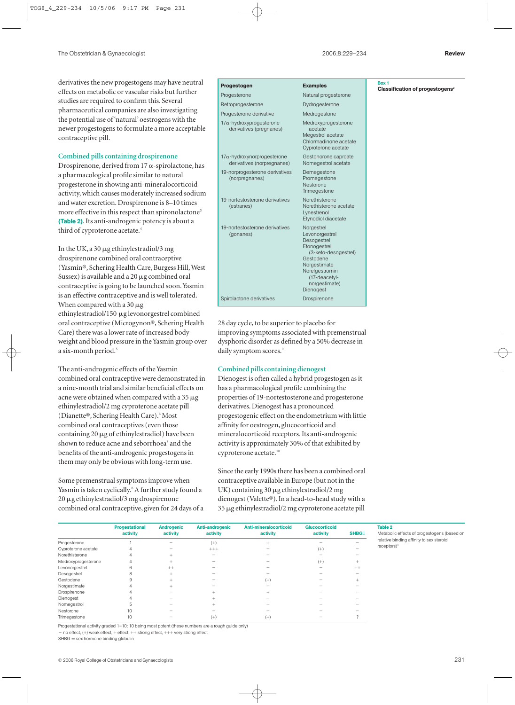derivatives the new progestogens may have neutral effects on metabolic or vascular risks but further studies are required to confirm this. Several pharmaceutical companies are also investigating the potential use of 'natural' oestrogens with the newer progestogens to formulate a more acceptable contraceptive pill.

#### **Combined pills containing drospirenone**

Drospirenone, derived from  $17 \alpha$ -spirolactone, has a pharmacological profile similar to natural progesterone in showing anti-mineralocorticoid activity, which causes moderately increased sodium and water excretion. Drospirenone is 8–10 times more effective in this respect than spironolactone<sup>3</sup> (Table 2). Its anti-androgenic potency is about a third of cyproterone acetate.<sup>4</sup>

In the UK, a 30  $\mu$ g ethinylestradiol/3 mg drospirenone combined oral contraceptive (Yasmin®, Schering Health Care, Burgess Hill, West Sussex) is available and a 20  $\mu$ g combined oral contraceptive is going to be launched soon.Yasmin is an effective contraceptive and is well tolerated. When compared with a 30  $\mu$ g ethinylestradiol/150 µg levonorgestrel combined oral contraceptive (Microgynon®, Schering Health Care) there was a lower rate of increased body weight and blood pressure in the Yasmin group over a six-month period.<sup>5</sup>

The anti-androgenic effects of the Yasmin combined oral contraceptive were demonstrated in a nine-month trial and similar beneficial effects on acne were obtained when compared with a  $35 \mu$ g ethinylestradiol/2 mg cyproterone acetate pill (Dianette®, Schering Health Care).<sup>6</sup> Most combined oral contraceptives (even those containing 20  $\mu$ g of ethinylestradiol) have been shown to reduce acne and seborrhoea<sup>7</sup> and the benefits of the anti-androgenic progestogens in them may only be obvious with long-term use.

Some premenstrual symptoms improve when Yasmin is taken cyclically.<sup>8</sup> A further study found a  $20 \mu$ g ethinylestradiol/3 mg drospirenone combined oral contraceptive, given for 24 days of a

| Progestogen                                                      | <b>Examples</b>                                                                                                                                                                   |  |
|------------------------------------------------------------------|-----------------------------------------------------------------------------------------------------------------------------------------------------------------------------------|--|
| Progesterone                                                     | Natural progesterone                                                                                                                                                              |  |
| Retroprogesterone                                                | Dydrogesterone                                                                                                                                                                    |  |
| Progesterone derivative                                          | Medrogestone                                                                                                                                                                      |  |
| $17\alpha$ -hydroxyprogesterone<br>derivatives (pregnanes)       | Medroxyprogesterone<br>acetate<br>Megestrol acetate<br>Chlormadinone acetate<br>Cyproterone acetate                                                                               |  |
| $17\alpha$ -hydroxynorprogesterone<br>derivatives (norpregnanes) | Gestonorone caproate<br>Nomegestrol acetate                                                                                                                                       |  |
| 19-norprogesterone derivatives<br>(norpregnanes)                 | Demegestone<br>Promegestone<br>Nestorone<br>Trimegestone                                                                                                                          |  |
| 19-nortestosterone derivatives<br>(estranes)                     | Norethisterone<br>Norethisterone acetate<br>Lynestrenol<br>Etynodiol diacetate                                                                                                    |  |
| 19-nortestosterone derivatives<br>(gonanes)                      | Norgestrel<br>Levonorgestrel<br>Desogestrel<br>Etonogestrel<br>(3-keto-desogestrel)<br>Gestodene<br>Norgestimate<br>Norelgestromin<br>(17-deacetyl-<br>norgestimate)<br>Dienogest |  |
| Spirolactone derivatives                                         | Drospirenone                                                                                                                                                                      |  |

#### Box 1 Classification of progestogens<sup>2</sup>

28 day cycle, to be superior to placebo for improving symptoms associated with premenstrual dysphoric disorder as defined by a 50% decrease in daily symptom scores.<sup>9</sup>

#### **Combined pills containing dienogest**

Dienogest is often called a hybrid progestogen as it has a pharmacological profile combining the properties of 19-nortestosterone and progesterone derivatives. Dienogest has a pronounced progestogenic effect on the endometrium with little affinity for oestrogen, glucocorticoid and mineralocorticoid receptors. Its anti-androgenic activity is approximately 30% of that exhibited by cyproterone acetate.<sup>10</sup>

Since the early 1990s there has been a combined oral contraceptive available in Europe (but not in the UK) containing 30  $\mu$ g ethinylestradiol/2 mg dienogest (Valette®). In a head-to-head study with a  $35 \mu$ g ethinylestradiol/2 mg cyproterone acetate pill

|                     | Progestational<br>activity | <b>Androgenic</b><br>activity | <b>Anti-androgenic</b><br>activity | <b>Anti-mineralocorticoid</b><br>activity | <b>Glucocorticoid</b><br>activity | <b>SHBG</b> | Table 2<br>Metabolic |
|---------------------|----------------------------|-------------------------------|------------------------------------|-------------------------------------------|-----------------------------------|-------------|----------------------|
| Progesterone        |                            | -                             | $(+)$                              |                                           |                                   |             | relative bir         |
| Cyproterone acetate |                            |                               | $+++$                              |                                           | $^{(+)}$                          |             | receptors)           |
| Norethisterone      | 4                          | $^+$                          | -                                  |                                           |                                   |             |                      |
| Medroxyprogesterone |                            | $^{+}$                        |                                    |                                           | $(+)$                             | $^{+}$      |                      |
| Levonorgestrel      |                            | $^{++}$                       |                                    |                                           |                                   | $^{++}$     |                      |
| Desogestrel         |                            | $+$                           |                                    |                                           |                                   |             |                      |
| Gestodene           |                            | $+$                           |                                    | $(+)$                                     |                                   | $^{+}$      |                      |
| Norgestimate        |                            | +                             |                                    |                                           |                                   |             |                      |
| Drospirenone        |                            |                               | +                                  | +                                         |                                   |             |                      |
| Dienogest           |                            |                               |                                    |                                           |                                   |             |                      |
| Nomegestrol         |                            |                               | $\overline{+}$                     |                                           |                                   |             |                      |
| Nestorone           | 10 <sup>1</sup>            |                               |                                    |                                           |                                   |             |                      |
| Trimegestone        | 10                         |                               | $^{(+)}$                           | $^{(+)}$                                  |                                   |             |                      |

Table 2 Metabolic effects of progestogens (based on relative binding affinity to sex steroid

Progestational activity graded 1–10: 10 being most potent (these numbers are a rough guide only)

 $\overline{\phantom{a}}$  no effect,  $(+)$  weak effect,  $+$  effect,  $++$  strong effect,  $++$  very strong effect

SHBG = sex hormone binding globulin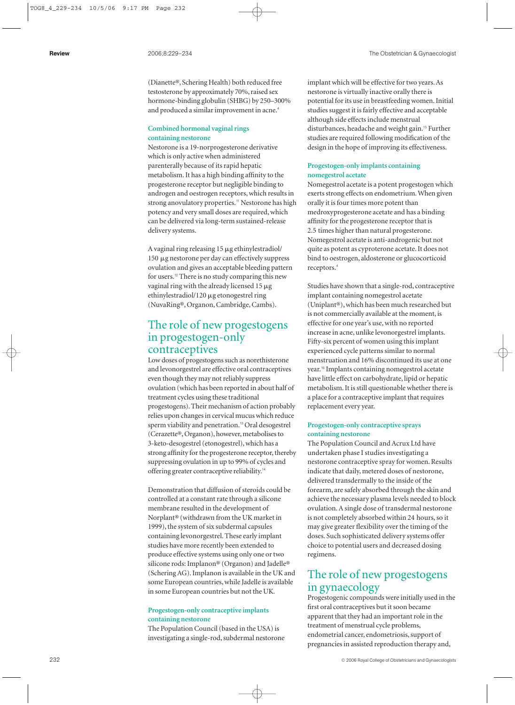(Dianette®, Schering Health) both reduced free testosterone by approximately 70%, raised sex hormone-binding globulin (SHBG) by 250–300% and produced a similar improvement in acne.<sup>4</sup>

#### **Combined hormonal vaginal rings containing nestorone**

Nestorone is a 19-norprogesterone derivative which is only active when administered parenterally because of its rapid hepatic metabolism. It has a high binding affinity to the progesterone receptor but negligible binding to androgen and oestrogen receptors, which results in strong anovulatory properties.<sup>11</sup> Nestorone has high potency and very small doses are required, which can be delivered via long-term sustained-release delivery systems.

A vaginal ring releasing  $15 \mu$ g ethinylestradiol/ 150 µg nestorone per day can effectively suppress ovulation and gives an acceptable bleeding pattern for users.<sup>12</sup> There is no study comparing this new vaginal ring with the already licensed  $15 \mu$ g ethinylestradiol/120  $\mu$ g etonogestrel ring (NuvaRing®, Organon, Cambridge, Cambs).

## The role of new progestogens in progestogen-only contraceptives

Low doses of progestogens such as norethisterone and levonorgestrel are effective oral contraceptives even though they may not reliably suppress ovulation (which has been reported in about half of treatment cycles using these traditional progestogens). Their mechanism of action probably relies upon changes in cervical mucus which reduce sperm viability and penetration.<sup>13</sup> Oral desogestrel (Cerazette®, Organon), however, metabolises to 3-keto-desogestrel (etonogestrel), which has a strong affinity for the progesterone receptor, thereby suppressing ovulation in up to 99% of cycles and offering greater contraceptive reliability.<sup>14</sup>

Demonstration that diffusion of steroids could be controlled at a constant rate through a silicone membrane resulted in the development of Norplant® (withdrawn from the UK market in 1999), the system of six subdermal capsules containing levonorgestrel. These early implant studies have more recently been extended to produce effective systems using only one or two silicone rods: Implanon® (Organon) and Jadelle® (Schering AG). Implanon is available in the UK and some European countries, while Jadelle is available in some European countries but not the UK.

#### **Progestogen-only contraceptive implants containing nestorone**

The Population Council (based in the USA) is investigating a single-rod, subdermal nestorone implant which will be effective for two years. As nestorone is virtually inactive orally there is potential for its use in breastfeeding women. Initial studies suggest it is fairly effective and acceptable although side effects include menstrual disturbances, headache and weight gain.<sup>15</sup> Further studies are required following modification of the design in the hope of improving its effectiveness.

#### **Progestogen-only implants containing nomegestrol acetate**

Nomegestrol acetate is a potent progestogen which exerts strong effects on endometrium. When given orally it is four times more potent than medroxyprogesterone acetate and has a binding affinity for the progesterone receptor that is 2.5 times higher than natural progesterone. Nomegestrol acetate is anti-androgenic but not quite as potent as cyproterone acetate. It does not bind to oestrogen, aldosterone or glucocorticoid receptors.<sup>4</sup>

Studies have shown that a single-rod, contraceptive implant containing nomegestrol acetate (Uniplant®), which has been much researched but is not commercially available at the moment, is effective for one year's use, with no reported increase in acne, unlike levonorgestrel implants. Fifty-six percent of women using this implant experienced cycle patterns similar to normal menstruation and 16% discontinued its use at one year.<sup>16</sup> Implants containing nomegestrol acetate have little effect on carbohydrate, lipid or hepatic metabolism. It is still questionable whether there is a place for a contraceptive implant that requires replacement every year.

#### **Progestogen-only contraceptive sprays containing nestorone**

The Population Council and Acrux Ltd have undertaken phase I studies investigating a nestorone contraceptive spray for women. Results indicate that daily, metered doses of nestorone, delivered transdermally to the inside of the forearm, are safely absorbed through the skin and achieve the necessary plasma levels needed to block ovulation. A single dose of transdermal nestorone is not completely absorbed within 24 hours, so it may give greater flexibility over the timing of the doses. Such sophisticated delivery systems offer choice to potential users and decreased dosing regimens.

## The role of new progestogens in gynaecology

Progestogenic compounds were initially used in the first oral contraceptives but it soon became apparent that they had an important role in the treatment of menstrual cycle problems, endometrial cancer, endometriosis, support of pregnancies in assisted reproduction therapy and,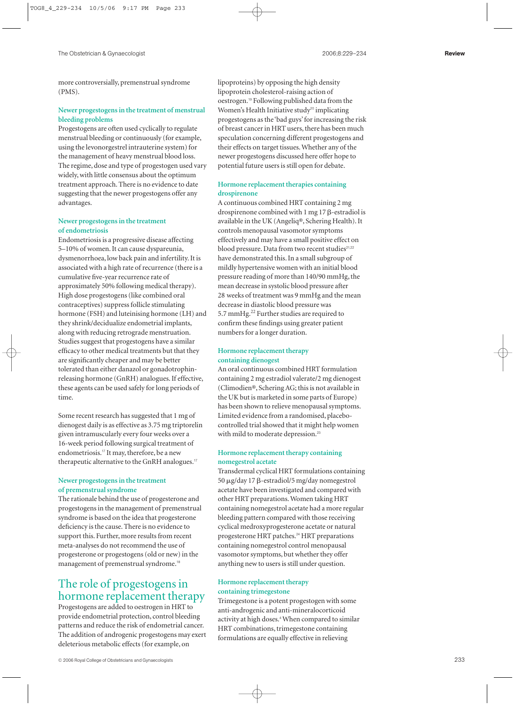more controversially, premenstrual syndrome (PMS).

#### **Newer progestogens in the treatment of menstrual bleeding problems**

Progestogens are often used cyclically to regulate menstrual bleeding or continuously (for example, using the levonorgestrel intrauterine system) for the management of heavy menstrual blood loss. The regime, dose and type of progestogen used vary widely, with little consensus about the optimum treatment approach. There is no evidence to date suggesting that the newer progestogens offer any advantages.

#### **Newer progestogens in the treatment of endometriosis**

Endometriosis is a progressive disease affecting 5–10% of women. It can cause dyspareunia, dysmenorrhoea, low back pain and infertility. It is associated with a high rate of recurrence (there is a cumulative five-year recurrence rate of approximately 50% following medical therapy). High dose progestogens (like combined oral contraceptives) suppress follicle stimulating hormone (FSH) and luteinising hormone (LH) and they shrink/decidualize endometrial implants, along with reducing retrograde menstruation. Studies suggest that progestogens have a similar efficacy to other medical treatments but that they are significantly cheaper and may be better tolerated than either danazol or gonadotrophinreleasing hormone (GnRH) analogues. If effective, these agents can be used safely for long periods of time.

Some recent research has suggested that 1 mg of dienogest daily is as effective as 3.75 mg triptorelin given intramuscularly every four weeks over a 16-week period following surgical treatment of endometriosis.<sup>17</sup> It may, therefore, be a new therapeutic alternative to the GnRH analogues.<sup>17</sup>

#### **Newer progestogens in the treatment of premenstrual syndrome**

The rationale behind the use of progesterone and progestogens in the management of premenstrual syndrome is based on the idea that progesterone deficiency is the cause. There is no evidence to support this. Further, more results from recent meta-analyses do not recommend the use of progesterone or progestogens (old or new) in the management of premenstrual syndrome.<sup>18</sup>

## The role of progestogens in hormone replacement therapy

Progestogens are added to oestrogen in HRT to provide endometrial protection, control bleeding patterns and reduce the risk of endometrial cancer. The addition of androgenic progestogens may exert deleterious metabolic effects (for example, on

lipoproteins) by opposing the high density lipoprotein cholesterol-raising action of oestrogen.<sup>19</sup> Following published data from the Women's Health Initiative study<sup>20</sup> implicating progestogens as the 'bad guys' for increasing the risk of breast cancer in HRT users, there has been much speculation concerning different progestogens and their effects on target tissues. Whether any of the newer progestogens discussed here offer hope to potential future users is still open for debate.

#### **Hormone replacement therapies containing drospirenone**

A continuous combined HRT containing 2 mg drospirenone combined with  $1 \text{ mg } 17 \text{ B}-\text{estradiol is}$ available in the UK (Angeliq®, Schering Health). It controls menopausal vasomotor symptoms effectively and may have a small positive effect on blood pressure. Data from two recent studies<sup>21,22</sup> have demonstrated this. In a small subgroup of mildly hypertensive women with an initial blood pressure reading of more than 140/90 mmHg, the mean decrease in systolic blood pressure after 28 weeks of treatment was 9 mmHg and the mean decrease in diastolic blood pressure was 5.7 mmHg.<sup>22</sup> Further studies are required to confirm these findings using greater patient numbers for a longer duration.

#### **Hormone replacement therapy containing dienogest**

An oral continuous combined HRT formulation containing 2 mg estradiol valerate/2 mg dienogest (Climodien®, Schering AG; this is not available in the UK but is marketed in some parts of Europe) has been shown to relieve menopausal symptoms. Limited evidence from a randomised, placebocontrolled trial showed that it might help women with mild to moderate depression.<sup>23</sup>

#### **Hormone replacement therapy containing nomegestrol acetate**

Transdermal cyclical HRT formulations containing 50  $\mu$ g/day 17 B-estradiol/5 mg/day nomegestrol acetate have been investigated and compared with other HRT preparations. Women taking HRT containing nomegestrol acetate had a more regular bleeding pattern compared with those receiving cyclical medroxyprogesterone acetate or natural progesterone HRT patches.<sup>24</sup> HRT preparations containing nomegestrol control menopausal vasomotor symptoms, but whether they offer anything new to users is still under question.

#### **Hormone replacement therapy containing trimegestone**

Trimegestone is a potent progestogen with some anti-androgenic and anti-mineralocorticoid activity at high doses.<sup>4</sup> When compared to similar HRT combinations, trimegestone containing formulations are equally effective in relieving